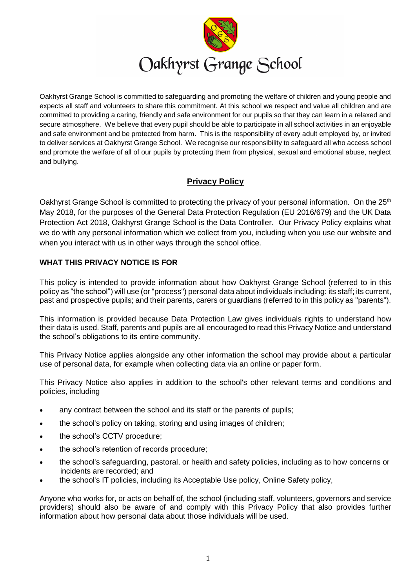

Oakhyrst Grange School is committed to safeguarding and promoting the welfare of children and young people and expects all staff and volunteers to share this commitment. At this school we respect and value all children and are committed to providing a caring, friendly and safe environment for our pupils so that they can learn in a relaxed and secure atmosphere. We believe that every pupil should be able to participate in all school activities in an enjoyable and safe environment and be protected from harm. This is the responsibility of every adult employed by, or invited to deliver services at Oakhyrst Grange School. We recognise our responsibility to safeguard all who access school and promote the welfare of all of our pupils by protecting them from physical, sexual and emotional abuse, neglect and bullying.

# **Privacy Policy**

Oakhyrst Grange School is committed to protecting the privacy of your personal information. On the 25<sup>th</sup> May 2018, for the purposes of the General Data Protection Regulation (EU 2016/679) and the UK Data Protection Act 2018, Oakhyrst Grange School is the Data Controller. Our Privacy Policy explains what we do with any personal information which we collect from you, including when you use our website and when you interact with us in other ways through the school office.

## **WHAT THIS PRIVACY NOTICE IS FOR**

This policy is intended to provide information about how Oakhyrst Grange School (referred to in this policy as "the school") will use (or "process") personal data about individuals including: its staff; its current, past and prospective pupils; and their parents, carers or guardians (referred to in this policy as "parents").

This information is provided because Data Protection Law gives individuals rights to understand how their data is used. Staff, parents and pupils are all encouraged to read this Privacy Notice and understand the school's obligations to its entire community.

This Privacy Notice applies alongside any other information the school may provide about a particular use of personal data, for example when collecting data via an online or paper form.

This Privacy Notice also applies in addition to the school's other relevant terms and conditions and policies, including

- any contract between the school and its staff or the parents of pupils;
- the school's policy on taking, storing and using images of children;
- the school's CCTV procedure;
- the school's retention of records procedure;
- the school's safeguarding, pastoral, or health and safety policies, including as to how concerns or incidents are recorded; and
- the school's IT policies, including its Acceptable Use policy, Online Safety policy,

Anyone who works for, or acts on behalf of, the school (including staff, volunteers, governors and service providers) should also be aware of and comply with this Privacy Policy that also provides further information about how personal data about those individuals will be used.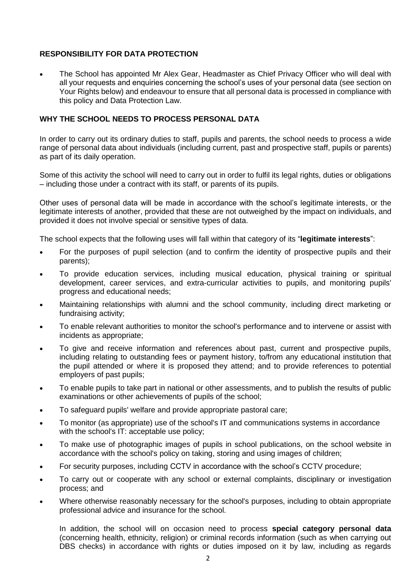## **RESPONSIBILITY FOR DATA PROTECTION**

 The School has appointed Mr Alex Gear, Headmaster as Chief Privacy Officer who will deal with all your requests and enquiries concerning the school's uses of your personal data (see section on Your Rights below) and endeavour to ensure that all personal data is processed in compliance with this policy and Data Protection Law.

## **WHY THE SCHOOL NEEDS TO PROCESS PERSONAL DATA**

In order to carry out its ordinary duties to staff, pupils and parents, the school needs to process a wide range of personal data about individuals (including current, past and prospective staff, pupils or parents) as part of its daily operation.

Some of this activity the school will need to carry out in order to fulfil its legal rights, duties or obligations – including those under a contract with its staff, or parents of its pupils.

Other uses of personal data will be made in accordance with the school's legitimate interests, or the legitimate interests of another, provided that these are not outweighed by the impact on individuals, and provided it does not involve special or sensitive types of data.

The school expects that the following uses will fall within that category of its "**legitimate interests**":

- For the purposes of pupil selection (and to confirm the identity of prospective pupils and their parents);
- To provide education services, including musical education, physical training or spiritual development, career services, and extra-curricular activities to pupils, and monitoring pupils' progress and educational needs;
- Maintaining relationships with alumni and the school community, including direct marketing or fundraising activity;
- To enable relevant authorities to monitor the school's performance and to intervene or assist with incidents as appropriate;
- To give and receive information and references about past, current and prospective pupils, including relating to outstanding fees or payment history, to/from any educational institution that the pupil attended or where it is proposed they attend; and to provide references to potential employers of past pupils;
- To enable pupils to take part in national or other assessments, and to publish the results of public examinations or other achievements of pupils of the school;
- To safeguard pupils' welfare and provide appropriate pastoral care;
- To monitor (as appropriate) use of the school's IT and communications systems in accordance with the school's IT: acceptable use policy;
- To make use of photographic images of pupils in school publications, on the school website in accordance with the school's policy on taking, storing and using images of children;
- For security purposes, including CCTV in accordance with the school's CCTV procedure;
- To carry out or cooperate with any school or external complaints, disciplinary or investigation process; and
- Where otherwise reasonably necessary for the school's purposes, including to obtain appropriate professional advice and insurance for the school.

In addition, the school will on occasion need to process **special category personal data** (concerning health, ethnicity, religion) or criminal records information (such as when carrying out DBS checks) in accordance with rights or duties imposed on it by law, including as regards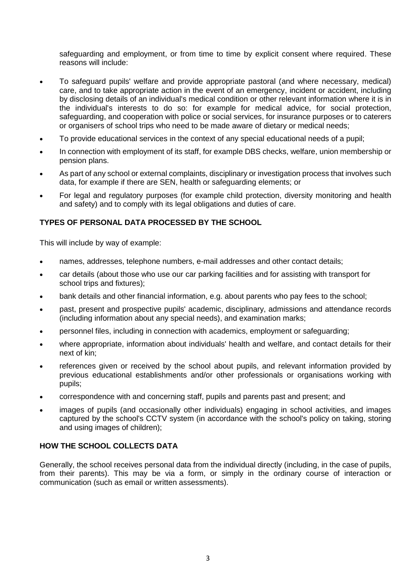safeguarding and employment, or from time to time by explicit consent where required. These reasons will include:

- To safeguard pupils' welfare and provide appropriate pastoral (and where necessary, medical) care, and to take appropriate action in the event of an emergency, incident or accident, including by disclosing details of an individual's medical condition or other relevant information where it is in the individual's interests to do so: for example for medical advice, for social protection, safeguarding, and cooperation with police or social services, for insurance purposes or to caterers or organisers of school trips who need to be made aware of dietary or medical needs;
- To provide educational services in the context of any special educational needs of a pupil;
- In connection with employment of its staff, for example DBS checks, welfare, union membership or pension plans.
- As part of any school or external complaints, disciplinary or investigation process that involves such data, for example if there are SEN, health or safeguarding elements; or
- For legal and regulatory purposes (for example child protection, diversity monitoring and health and safety) and to comply with its legal obligations and duties of care.

## **TYPES OF PERSONAL DATA PROCESSED BY THE SCHOOL**

This will include by way of example:

- names, addresses, telephone numbers, e-mail addresses and other contact details;
- car details (about those who use our car parking facilities and for assisting with transport for school trips and fixtures);
- bank details and other financial information, e.g. about parents who pay fees to the school;
- past, present and prospective pupils' academic, disciplinary, admissions and attendance records (including information about any special needs), and examination marks;
- personnel files, including in connection with academics, employment or safeguarding;
- where appropriate, information about individuals' health and welfare, and contact details for their next of kin;
- references given or received by the school about pupils, and relevant information provided by previous educational establishments and/or other professionals or organisations working with pupils;
- correspondence with and concerning staff, pupils and parents past and present; and
- images of pupils (and occasionally other individuals) engaging in school activities, and images captured by the school's CCTV system (in accordance with the school's policy on taking, storing and using images of children);

#### **HOW THE SCHOOL COLLECTS DATA**

Generally, the school receives personal data from the individual directly (including, in the case of pupils, from their parents). This may be via a form, or simply in the ordinary course of interaction or communication (such as email or written assessments).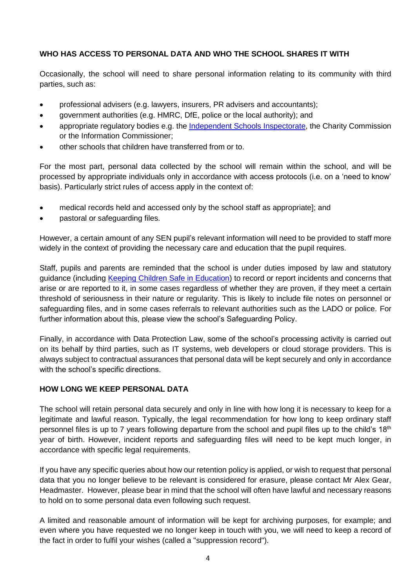## **WHO HAS ACCESS TO PERSONAL DATA AND WHO THE SCHOOL SHARES IT WITH**

Occasionally, the school will need to share personal information relating to its community with third parties, such as:

- professional advisers (e.g. lawyers, insurers, PR advisers and accountants);
- government authorities (e.g. HMRC, DfE, police or the local authority); and
- appropriate regulatory bodies e.g. the [Independent Schools Inspectorate,](https://www.isi.net/) the Charity Commission or the Information Commissioner;
- other schools that children have transferred from or to.

For the most part, personal data collected by the school will remain within the school, and will be processed by appropriate individuals only in accordance with access protocols (i.e. on a 'need to know' basis). Particularly strict rules of access apply in the context of:

- medical records held and accessed only by the school staff as appropriate]; and
- pastoral or safeguarding files.

However, a certain amount of any SEN pupil's relevant information will need to be provided to staff more widely in the context of providing the necessary care and education that the pupil requires.

Staff, pupils and parents are reminded that the school is under duties imposed by law and statutory guidance (including Keeping Children Safe in Education) to record or report incidents and concerns that arise or are reported to it, in some cases regardless of whether they are proven, if they meet a certain threshold of seriousness in their nature or regularity. This is likely to include file notes on personnel or safeguarding files, and in some cases referrals to relevant authorities such as the LADO or police. For further information about this, please view the school's Safeguarding Policy.

Finally, in accordance with Data Protection Law, some of the school's processing activity is carried out on its behalf by third parties, such as IT systems, web developers or cloud storage providers. This is always subject to contractual assurances that personal data will be kept securely and only in accordance with the school's specific directions.

## **HOW LONG WE KEEP PERSONAL DATA**

The school will retain personal data securely and only in line with how long it is necessary to keep for a legitimate and lawful reason. Typically, the legal recommendation for how long to keep ordinary staff personnel files is up to 7 years following departure from the school and pupil files up to the child's 18<sup>th</sup> year of birth. However, incident reports and safeguarding files will need to be kept much longer, in accordance with specific legal requirements.

If you have any specific queries about how our retention policy is applied, or wish to request that personal data that you no longer believe to be relevant is considered for erasure, please contact Mr Alex Gear, Headmaster. However, please bear in mind that the school will often have lawful and necessary reasons to hold on to some personal data even following such request.

A limited and reasonable amount of information will be kept for archiving purposes, for example; and even where you have requested we no longer keep in touch with you, we will need to keep a record of the fact in order to fulfil your wishes (called a "suppression record").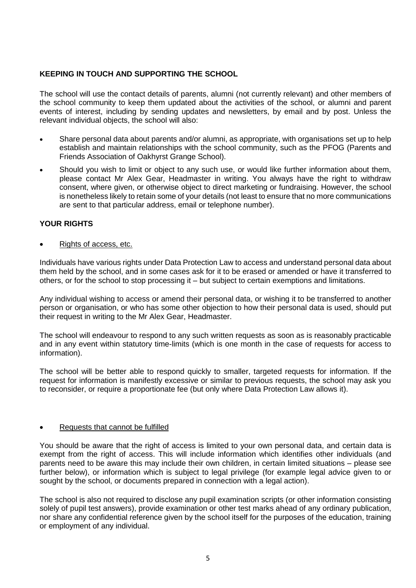## **KEEPING IN TOUCH AND SUPPORTING THE SCHOOL**

The school will use the contact details of parents, alumni (not currently relevant) and other members of the school community to keep them updated about the activities of the school, or alumni and parent events of interest, including by sending updates and newsletters, by email and by post. Unless the relevant individual objects, the school will also:

- Share personal data about parents and/or alumni, as appropriate, with organisations set up to help establish and maintain relationships with the school community, such as the PFOG (Parents and Friends Association of Oakhyrst Grange School).
- Should you wish to limit or object to any such use, or would like further information about them, please contact Mr Alex Gear, Headmaster in writing. You always have the right to withdraw consent, where given, or otherwise object to direct marketing or fundraising. However, the school is nonetheless likely to retain some of your details (not least to ensure that no more communications are sent to that particular address, email or telephone number).

#### **YOUR RIGHTS**

Rights of access, etc.

Individuals have various rights under Data Protection Law to access and understand personal data about them held by the school, and in some cases ask for it to be erased or amended or have it transferred to others, or for the school to stop processing it – but subject to certain exemptions and limitations.

Any individual wishing to access or amend their personal data, or wishing it to be transferred to another person or organisation, or who has some other objection to how their personal data is used, should put their request in writing to the Mr Alex Gear, Headmaster.

The school will endeavour to respond to any such written requests as soon as is reasonably practicable and in any event within statutory time-limits (which is one month in the case of requests for access to information).

The school will be better able to respond quickly to smaller, targeted requests for information. If the request for information is manifestly excessive or similar to previous requests, the school may ask you to reconsider, or require a proportionate fee (but only where Data Protection Law allows it).

#### Requests that cannot be fulfilled

You should be aware that the right of access is limited to your own personal data, and certain data is exempt from the right of access. This will include information which identifies other individuals (and parents need to be aware this may include their own children, in certain limited situations – please see further below), or information which is subject to legal privilege (for example legal advice given to or sought by the school, or documents prepared in connection with a legal action).

The school is also not required to disclose any pupil examination scripts (or other information consisting solely of pupil test answers), provide examination or other test marks ahead of any ordinary publication, nor share any confidential reference given by the school itself for the purposes of the education, training or employment of any individual.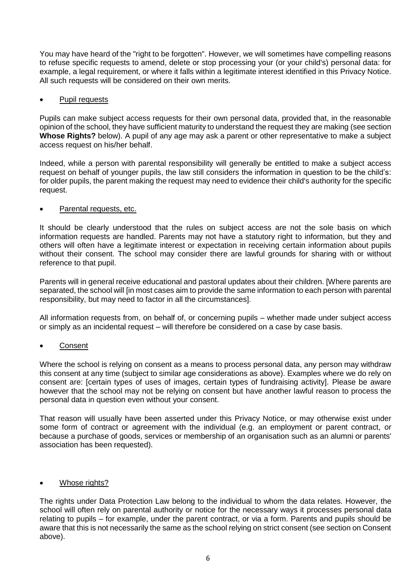You may have heard of the "right to be forgotten". However, we will sometimes have compelling reasons to refuse specific requests to amend, delete or stop processing your (or your child's) personal data: for example, a legal requirement, or where it falls within a legitimate interest identified in this Privacy Notice. All such requests will be considered on their own merits.

## Pupil requests

Pupils can make subject access requests for their own personal data, provided that, in the reasonable opinion of the school, they have sufficient maturity to understand the request they are making (see section **Whose Rights?** below). A pupil of any age may ask a parent or other representative to make a subject access request on his/her behalf.

Indeed, while a person with parental responsibility will generally be entitled to make a subject access request on behalf of younger pupils, the law still considers the information in question to be the child's: for older pupils, the parent making the request may need to evidence their child's authority for the specific request.

## Parental requests, etc.

It should be clearly understood that the rules on subject access are not the sole basis on which information requests are handled. Parents may not have a statutory right to information, but they and others will often have a legitimate interest or expectation in receiving certain information about pupils without their consent. The school may consider there are lawful grounds for sharing with or without reference to that pupil.

Parents will in general receive educational and pastoral updates about their children. [Where parents are separated, the school will [in most cases aim to provide the same information to each person with parental responsibility, but may need to factor in all the circumstances].

All information requests from, on behalf of, or concerning pupils – whether made under subject access or simply as an incidental request – will therefore be considered on a case by case basis.

## Consent

Where the school is relying on consent as a means to process personal data, any person may withdraw this consent at any time (subject to similar age considerations as above). Examples where we do rely on consent are: [certain types of uses of images, certain types of fundraising activity]. Please be aware however that the school may not be relying on consent but have another lawful reason to process the personal data in question even without your consent.

That reason will usually have been asserted under this Privacy Notice, or may otherwise exist under some form of contract or agreement with the individual (e.g. an employment or parent contract, or because a purchase of goods, services or membership of an organisation such as an alumni or parents' association has been requested).

#### Whose rights?

The rights under Data Protection Law belong to the individual to whom the data relates. However, the school will often rely on parental authority or notice for the necessary ways it processes personal data relating to pupils – for example, under the parent contract, or via a form. Parents and pupils should be aware that this is not necessarily the same as the school relying on strict consent (see section on Consent above).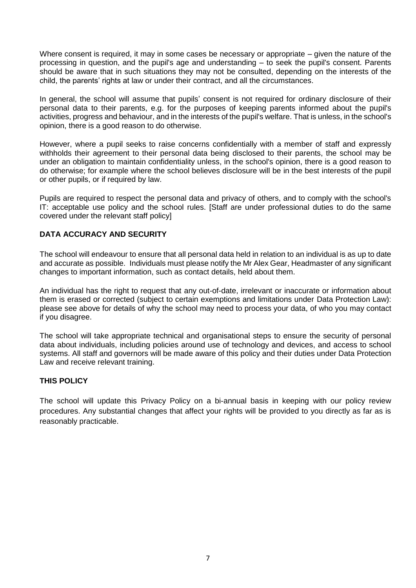Where consent is required, it may in some cases be necessary or appropriate – given the nature of the processing in question, and the pupil's age and understanding – to seek the pupil's consent. Parents should be aware that in such situations they may not be consulted, depending on the interests of the child, the parents' rights at law or under their contract, and all the circumstances.

In general, the school will assume that pupils' consent is not required for ordinary disclosure of their personal data to their parents, e.g. for the purposes of keeping parents informed about the pupil's activities, progress and behaviour, and in the interests of the pupil's welfare. That is unless, in the school's opinion, there is a good reason to do otherwise.

However, where a pupil seeks to raise concerns confidentially with a member of staff and expressly withholds their agreement to their personal data being disclosed to their parents, the school may be under an obligation to maintain confidentiality unless, in the school's opinion, there is a good reason to do otherwise; for example where the school believes disclosure will be in the best interests of the pupil or other pupils, or if required by law.

Pupils are required to respect the personal data and privacy of others, and to comply with the school's IT: acceptable use policy and the school rules. [Staff are under professional duties to do the same covered under the relevant staff policy]

## **DATA ACCURACY AND SECURITY**

The school will endeavour to ensure that all personal data held in relation to an individual is as up to date and accurate as possible. Individuals must please notify the Mr Alex Gear, Headmaster of any significant changes to important information, such as contact details, held about them.

An individual has the right to request that any out-of-date, irrelevant or inaccurate or information about them is erased or corrected (subject to certain exemptions and limitations under Data Protection Law): please see above for details of why the school may need to process your data, of who you may contact if you disagree.

The school will take appropriate technical and organisational steps to ensure the security of personal data about individuals, including policies around use of technology and devices, and access to school systems. All staff and governors will be made aware of this policy and their duties under Data Protection Law and receive relevant training.

#### **THIS POLICY**

The school will update this Privacy Policy on a bi-annual basis in keeping with our policy review procedures. Any substantial changes that affect your rights will be provided to you directly as far as is reasonably practicable.